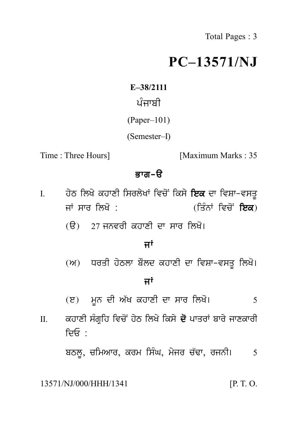# **PC–13571/NJ**  $PC-1357$ –38/2111<br>ਪੰਜਾਬੀ<br>aper–101)<br>amoster D

**E–38/2111**

(Paper–101)

(Semester–I)

Time : Three Hours] [Maximum Marks : 35]

# ਭਾਗ $-\theta$

- I. Three Hours]  $\overline{\mathbf{s}}$ ਾਗ ੳ<br>I. ਹੇਠ ਲਿਖੇ ਕਹਾਣੀ ਸਿਰਲੇਖਾਂ ਵਿਚੋਂ ਕਿਸੇ ਇਕ ਦਾ ਵਿਸ਼ਾ-ਵਸਤੂ<br>ਜਾਂ ਸਾਰ ਲਿਖੋ : (ਤਿੰਨਾਂ ਵਿਚੋਂ ਇਕ)<br>(ਤਿੰਨਾਂ ਵਿਚੋਂ ਇਕ) **ਭਾਗ-ੳ<br>ਹੇਠ ਲਿਖੇ ਕਹਾਣੀ ਸਿਰਲੇਖਾਂ ਵਿਚੋਂ ਕਿਸੇ ਇਕ** ਦਾ ਵਿਸ਼ਾ–ਵਸਤੂ<br>ਜਾਂ ਸਾਰ ਲਿਖੋ : (ਤਿੰਨਾਂ ਵਿਚੋਂ ਇਕ)<br>(ੳ) 27 ਜਨਵਰੀ ਕਹਾਣੀ ਦਾ ਸਾਰ ਲਿਖੋ। ਹੇਠ ਲਿਖੇ ਕਹਾਣੀ ਸਿਰਲੇਖਾਂ ਵਿਚੋਂ ਕਿਸੇ **ਇਕ** ਦਾ ਵਿਸ਼ਾ-ਵਸਤੂ<br>ਜਾਂ ਸਾਰ ਲਿਖੋ :<br>(ੳ) 27 ਜਨਵਰੀ ਕਹਾਣੀ ਦਾ ਸਾਰ ਲਿਖੋ।<br>**ਜਾਂ** (ਤਿੰਨਾਂ ਵਿ<br>ਣੀ ਦਾ ਸਾਰ ਲਿਖੋ।<br><mark>ਜਾਂ</mark><br>ਲਦ ਕਹਾਣੀ ਦਾ ਵਿਸ਼ਾ–ਵਸ
	-

(ੳ) 27 ਜਨਵਰੀ ਕਹਾਣੀ ਦਾ ਸਾਰ ਲਿਖੋ।<br>ਜਾਂ<br>(ਅ) ਧਰਤੀ ਹੇਠਲਾ ਬੌਲਦ ਕਹਾਣੀ ਦਾ ਵਿਸ਼ਾ–ਵਸਤੂ ਲਿਖੋ।<br>ਜਾਂ **ਜਾਂ**<br>ਲਦ ਕਹਾਣੀ ਦਾ ਵਿਸ਼ਾ-ਵਸ<br>ਜਾਂ<br>ਹਾਣੀ ਦਾ ਸਾਰ ਲਿਖੋ।

- 
- (e) m Un dI A `K khwxI dw swr ilK o[ <sup>5</sup> ਸਾਂ<br>(ੲ) ਮੂਨ ਦੀ ਅੱਖ ਕਹਾਣੀ ਦਾ ਸਾਰ ਲਿਖੋ।<br>II. ਕਹਾਣੀ ਸੰਗ੍ਰਹਿ ਵਿਚੋਂ ਹੇਠ ਲਿਖੇ ਕਿਸੇ ਦੋ ਪਾਤਰਾਂ ਬਾਰੇ ਜਾਣਕਾਰੀ<br>ਦਿਓ : ਦਿ $\mathsf{F}$  · ਕਹਾਣੀ ਸੰਗ੍ਰਹਿ ਵਿਚੋਂ ਹੇਠ ਲਿਖੇ ਕਿਸੇ **ਦੋ** ਪਾਤਰਾਂ ਬਾਰੇ ਜਾਣਕਾਰੀ<br>ਦਿਓ :<br>ਬਠਲੂ, ਚਮਿਆਰ, ਕਰਮ ਸਿੰਘ, ਮੇਜਰ ਚੱਢਾ, ਰਜਨੀ। 5<br>\W222/WW/1341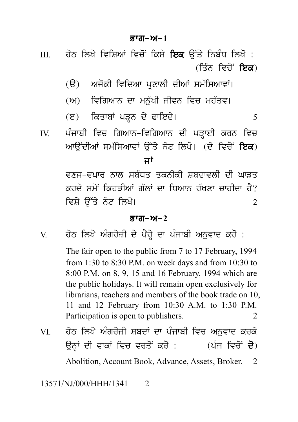## Bwg-A-**1**

**ਭਾਗ-ਅ-1**<br>III. ਹੇਠ ਲਿਖੇ ਵਿਸ਼ਿਆਂ ਵਿਚੋਂ ਕਿਸੇ **ਇਕ** ਉੱਤੇ ਨਿਬੰਧ ਲਿਖੋ :<br>(ਤਿੰਨ ਵਿਚੋਂ ਇਕ)<br>(ਉ) ਅਜ਼ੋਟੀ ਵਿਜ਼ਿਆ ਮੁਣਾਲੀ ਜ਼ੀਆਂ ਸਮੱਸਿਆਵਾਂ। ੱਤੇ ਨਿਬੰਧ ਲਿਖੋ :<br>(ਤਿੰਨ ਵਿਚੋਂ **ਇਕ**)<br>ਸਮੱਸਿਆਵਾਂ।<br>– ਹਵੱਤਾ: ਹੇਠ ਲਿਖੇ ਵਿਸ਼ਿਆਂ ਵਿਚੋਂ ਕਿਸੇ **ਇਕ** ਉੱਤੇ ਨਿਬੰਧ ਲਿਖੋ :<br>(ੳ) ਅਜੋਕੀ ਵਿਦਿਆ ਪ੍ਰਣਾਲੀ ਦੀਆਂ ਸਮੱਸਿਆਵਾਂ।<br>(ਅ) ਵਿਗਿਆਨ ਦਾ ਮਨੁੱਖੀ ਜੀਵਨ ਵਿਚ ਮਹੱਤਵ।<br>(ੲ) ਕਿਤਾਬਾਂ ਪੜਨ ਦੇ ਫਾਇਦੇ। (A) ivigAwn dw mn u `KI jIvn ivc mh `qv[

- 
- 
- 
- (ੳ) ਅਜੋਕੀ ਵਿਦਿਆ ਪ੍ਰਣਾਲੀ ਦੀਆਂ ਸਮੱਸਿਆਵਾਂ।<br>(ਅ) ਵਿਗਿਆਨ ਦਾ ਮਨੁੱਖੀ ਜੀਵਨ ਵਿਚ ਮਹੱਤਵ।<br>(ੲ) ਕਿਤਾਬਾਂ ਪੜ੍ਹਨ ਦੇ ਫਾਇਦੇ।<br>ਪੰਜਾਬੀ ਵਿਚ ਗਿਆਨ-ਵਿਗਿਆਨ ਦੀ ਪੜ੍ਹਾਈ ਕਰਨ ਵਿਚ<br>ਆਉਂਦੀਆਂ ਸਮੱਸਿਆਵਾਂ ਉੱਤੇ ਨੋਟ ਲਿਖੇ। (ਦੋ ਵਿਚੋਂ **ਇਕ**) ੱ<br>(ਅ) ਵਿਗਿਆਨ ਦਾ ਮਨੁੱਖੀ ਜੀਵਨ ਵਿਚ ਮਹੱਤਵ।<br>(ੲ) ਕਿਤਾਬਾਂ ਪੜ੍ਹਨ ਦੇ ਫਾਇਦੇ।<br>IV. ਪੰਜਾਬੀ ਵਿਚ ਗਿਆਨ-ਵਿਗਿਆਨ ਦੀ ਪੜ੍ਹਾਈ ਕਰਨ ਵਿਚ<br>ਆਉਂਦੀਆਂ ਸਮੱਸਿਆਵਾਂ ਉੱਤੇ ਨੋਟ ਲਿਖੋ। (ਦੋ ਵਿਚੋਂ **ਇਕ**)<br>ਜਾਂ (ਅ) ਜਵਾਗਆਨ ਦਾ ਸ਼ੁਰੂਬਾ ਜਾਵਨ ਵਿਚ ਸਰਤਵਜ<br>(ੲ) - ਕਿਤਾਬਾਂ ਪੜ੍ਹਨ ਦੇ ਫਾਇਦੇ।<br>ਪੰਜਾਬੀ ਵਿਚ ਗਿਆਨ-ਵਿਗਿਆਨ ਦੀ ਪੜ੍ਹਾਈ ਕਰਨ ਵਿਚ<br>ਆਉਂਦੀਆਂ ਸਮੱਸਿਆਵਾਂ ਉੱਤੇ ਨੋਟ ਲਿਖੋ। (ਦੋ ਵਿਚੋਂ **ਇਕ**)<br>**ਜਾਂ**<br>ਵਣਜੂ-ਵਪਾਰ ਨਾਲ ਸਬੰਧਤ ਤਕਨੀਕੀ ਸ਼ਬਦਾਵਲੀ ਦੀ ਘਾਤਤ

<sup>,</sup> ਫਾਇਦਾ<br>ਵਿਗਿਆਨ ਦੀ ਪੜ੍ਹਾਈ ਕ<br>ਉੱਤੇ ਨੋਟ ਲਿਖੋ। (ਦੋ ਵਿਾ<br>ਜਾਂ<br>ਤ ਤਕਨੀਕੀ ਸ਼ਬਦਾਵਲੀ ਜ<br>ੱਲਾਂ ਦਾ ਧਿਆਨ ਰੱਖਣਾ ਚਾ ਪੰਜਾਬੀ ਵਿਚ ਗਿਆਨ-ਵਿਗਿਆਨ ਦੀ ਪੜ੍ਹਾਈ ਕਰਨ ਵਿਚ<br>ਆਉਂਦੀਆਂ ਸਮੱਸਿਆਵਾਂ ਉੱਤੇ ਨੋਟ ਲਿਖੋ। (ਦੋ ਵਿਚੋਂ **ਇਕ**)<br>**ਜਾਂ**<br>ਵਣਜ-ਵਪਾਰ ਨਾਲ ਸਬੰਧਤ ਤਕਨੀਕੀ ਸ਼ਬਦਾਵਲੀ ਦੀ ਘਾੜਤ<br>ਕਰਦੇ ਸਮੇਂ ਕਿਹੜੀਆਂ ਗੱਲਾਂ ਦਾ ਧਿਆਨ ਰੱਖਣਾ ਚਾਹੀਦਾ ਹੈ?<br>ਵਿਸ਼ੇ ਉੱਤੇ ਨੋਟ ਲਿਖੋ। ਆਉਂਦੀਆਂ ਸਮੱਸਿਆਵਾਂ ਉੱਤੇ ਨੋਟ ਲਿਖੋ। (ਦੋ ਵਿਚੋਂ **ਇਕ**)<br>ਜਾਂ<br>ਵਣਜ-ਵਪਾਰ ਨਾਲ ਸਬੰਧਤ ਤਕਨੀਕੀ ਸ਼ਬਦਾਵਲੀ ਦੀ ਘਾੜਤ<br>ਕਰਦੇ ਸਮੇਂ ਕਿਹੜੀਆਂ ਗੱਲਾਂ ਦਾ ਧਿਆਨ ਰੱਖਣਾ ਚਾਹੀਦਾ ਹੈ?<br>ਵਿਸ਼ੇ ਉੱਤੇ ਨੋਟ ਲਿਖੋ।<br>ਕਾਰ-ਅ-? ਜਾਂ<br>ਵਣਜ–ਵਪਾਰ ਨਾਲ ਸਬੰਧਤ ਤਕਨੀਕੀ ਸ਼ਬਦਾਵਲੀ ਦੀ ਘਾੜਤ<br>ਕਰਦੇ ਸਮੇਂ ਕਿਹੜੀਆਂ ਗੱਲਾਂ ਦਾ ਧਿਆਨ ਰੱਖਣਾ ਚਾਹੀਦਾ ਹੈ?<br>ਭਾਗ–ਅ–2<br>ਹੇਠ ਲਿਖੇ ਅੰਗਰੇਜ਼ੀ ਦੇ ਪੈਰ੍ਹੇ ਦਾ ਪੰਜਾਬੀ ਅਨਵਾਦ ਕਰੋ :<br>ਹੇਠ ਲਿਖੇ ਅੰਗਰੇਜ਼ੀ ਦੇ ਪੈਰ੍ਹੇ ਦਾ ਪੰਜਾਬੀ ਅਨਵਾਦ ਕਰੋ :

# <u>ਭਾਗ–ਅ–2</u>

ਕਰਦ ਸਮਾਜਕਰਤਾਆਂ ਗੁਲਾਂ ਦਾ ਜ਼ਿਆਨ ਰੋਖਣਾ ਚਾਹੁੰਦਾ ਹੈ।<br>ਵਿਸ਼ੇ ਉੱਤੇ ਨੋਟ ਲਿਖੋ।<br>**ਭਾਗ-ਅ-2**<br>V. ਹੇਠ ਲਿਖੇ ਅੰਗਰੇਜ਼ੀ ਦੇ ਪੈਰ੍ਹੇ ਦਾ ਪੰਜਾਬੀ ਅਨੁਵਾਦ ਕਰੋ :<br>The fair open to the public from 7 to 17 February, 1994<br>from 1:30 to 8:30 P.M. on week The fair open to the public from 7 to 17 February, 1994 from 1:30 to 8:30 P.M. on week days and from 10:30 to 8:00 P.M. on 8, 9, 15 and 16 February, 1994 which are the public holidays. It will remain open exclusively for librarians, teachers and members of the book trade on 10, 11 and 12 February from 10:30 A.M. to 1:30 P.M. Participation is open to publishers. 2

librarians, teachers and members of the book trade on 10,<br>11 and 12 February from 10:30 A.M. to 1:30 P.M.<br>Participation is open to publishers.<br>2<br>VI. ਹੇਠ ਲਿਖੇ ਅੰਗਰੇਜ਼ੀ ਸ਼ਬਦਾਂ ਦਾ ਪੰਜਾਬੀ ਵਿਚ ਅਨੁਵਾਦ ਕਰਕੇ<br>ਉਨ੍ਹਾਂ ਦੀ ਵਾਕਾਂ ਵਿਚ ਵ 11 and 12 February from 10:30 A.M. to 1:30 P.M.<br>Participation is open to publishers. 2<br>ਹੇਠ ਲਿਖੇ ਅੰਗਰੇਜ਼ੀ ਸ਼ਬਦਾਂ ਦਾ ਪੰਜਾਬੀ ਵਿਚ ਅਨੁਵਾਦ ਕਰਕੇ<br>ਉਨ੍ਹਾਂ ਦੀ ਵਾਕਾਂ ਵਿਚ ਵਰਤੋਂ ਕਰੋ : (ਪੰਜ ਵਿਚੋਂ **ਦੋ**)<br>Abolition, Account Book, Advance, Abolition, Account Book, Advance, Assets, Broker. 2

13571/NJ/000/HHH/1341 2